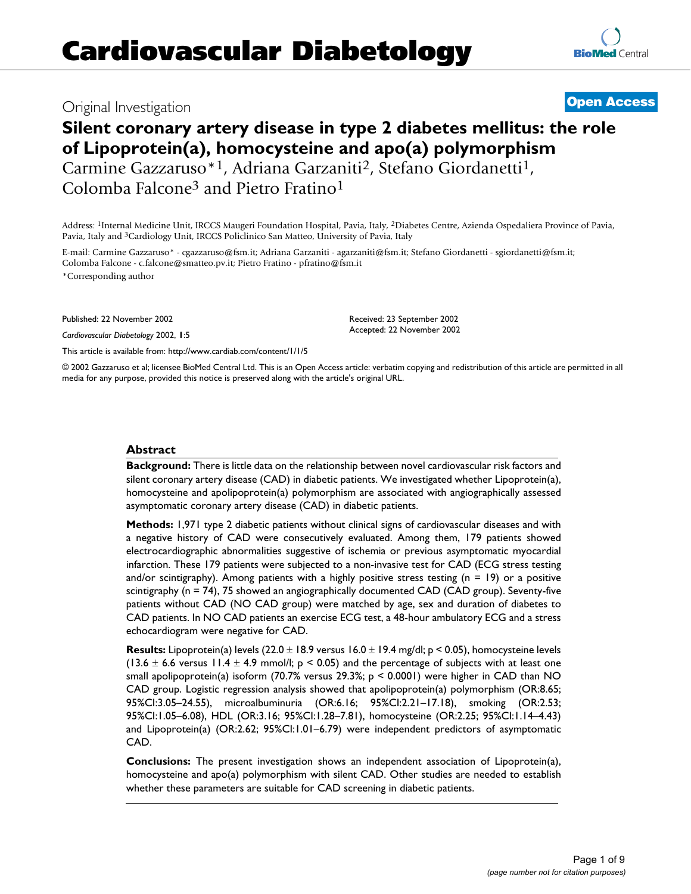# Original Investigation **Cardiovascular Diabetology 2002, 2002, 2002, 2003, 2002, 2003, 2003, 2003, 2003, 2003, 200**

# **Silent coronary artery disease in type 2 diabetes mellitus: the role of Lipoprotein(a), homocysteine and apo(a) polymorphism** Carmine Gazzaruso\*1, Adriana Garzaniti2, Stefano Giordanetti1,

Colomba Falcone3 and Pietro Fratino1

Address: 1Internal Medicine Unit, IRCCS Maugeri Foundation Hospital, Pavia, Italy, 2Diabetes Centre, Azienda Ospedaliera Province of Pavia, Pavia, Italy and 3Cardiology Unit, IRCCS Policlinico San Matteo, University of Pavia, Italy

E-mail: Carmine Gazzaruso\* - cgazzaruso@fsm.it; Adriana Garzaniti - agarzaniti@fsm.it; Stefano Giordanetti - sgiordanetti@fsm.it; Colomba Falcone - c.falcone@smatteo.pv.it; Pietro Fratino - pfratino@fsm.it \*Corresponding author

Published: 22 November 2002

*Cardiovascular Diabetology* 2002, **1**:5

[This article is available from: http://www.cardiab.com/content/1/1/5](http://www.cardiab.com/content/1/1/5)

© 2002 Gazzaruso et al; licensee BioMed Central Ltd. This is an Open Access article: verbatim copying and redistribution of this article are permitted in all media for any purpose, provided this notice is preserved along with the article's original URL.

# **Abstract**

**Background:** There is little data on the relationship between novel cardiovascular risk factors and silent coronary artery disease (CAD) in diabetic patients. We investigated whether Lipoprotein(a), homocysteine and apolipoprotein(a) polymorphism are associated with angiographically assessed asymptomatic coronary artery disease (CAD) in diabetic patients.

**Methods:** 1,971 type 2 diabetic patients without clinical signs of cardiovascular diseases and with a negative history of CAD were consecutively evaluated. Among them, 179 patients showed electrocardiographic abnormalities suggestive of ischemia or previous asymptomatic myocardial infarction. These 179 patients were subjected to a non-invasive test for CAD (ECG stress testing and/or scintigraphy). Among patients with a highly positive stress testing ( $n = 19$ ) or a positive scintigraphy (n = 74), 75 showed an angiographically documented CAD (CAD group). Seventy-five patients without CAD (NO CAD group) were matched by age, sex and duration of diabetes to CAD patients. In NO CAD patients an exercise ECG test, a 48-hour ambulatory ECG and a stress echocardiogram were negative for CAD.

**Results:** Lipoprotein(a) levels (22.0 ± 18.9 versus 16.0 ± 19.4 mg/dl; p < 0.05), homocysteine levels (13.6  $\pm$  6.6 versus 11.4  $\pm$  4.9 mmol/l; p < 0.05) and the percentage of subjects with at least one small apolipoprotein(a) isoform (70.7% versus 29.3%; p < 0.0001) were higher in CAD than NO CAD group. Logistic regression analysis showed that apolipoprotein(a) polymorphism (OR:8.65; 95%CI:3.05–24.55), microalbuminuria (OR:6.16; 95%CI:2.21–17.18), smoking (OR:2.53; 95%CI:1.05–6.08), HDL (OR:3.16; 95%CI:1.28–7.81), homocysteine (OR:2.25; 95%CI:1.14–4.43) and Lipoprotein(a) (OR:2.62; 95%CI:1.01–6.79) were independent predictors of asymptomatic CAD.

**Conclusions:** The present investigation shows an independent association of Lipoprotein(a), homocysteine and apo(a) polymorphism with silent CAD. Other studies are needed to establish whether these parameters are suitable for CAD screening in diabetic patients.

Received: 23 September 2002 Accepted: 22 November 2002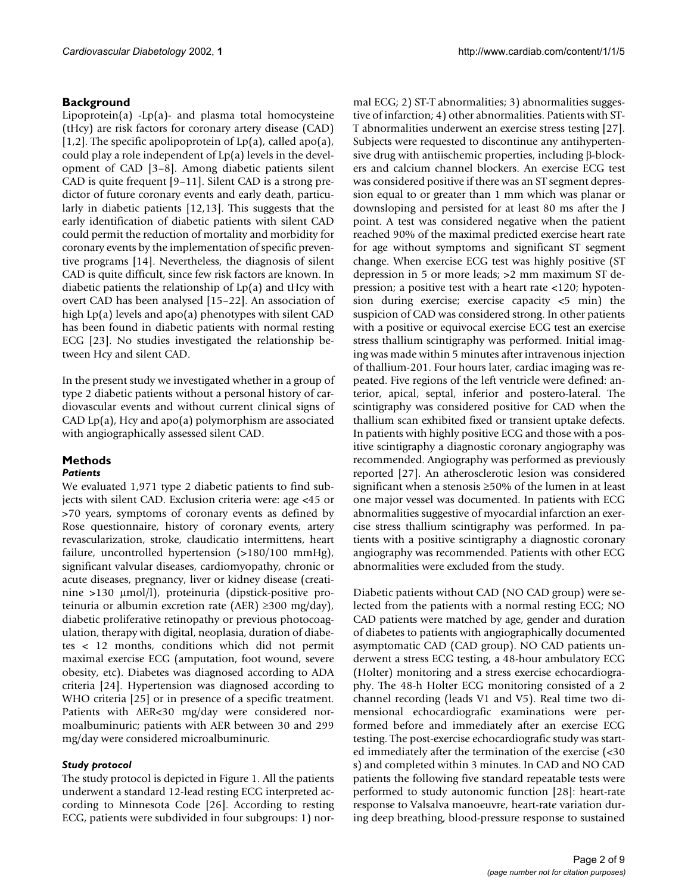# **Background**

Lipoprotein(a) -Lp(a)- and plasma total homocysteine (tHcy) are risk factors for coronary artery disease (CAD) [1,2]. The specific apolipoprotein of  $Lp(a)$ , called apo $(a)$ , could play a role independent of Lp(a) levels in the development of CAD [3–8]. Among diabetic patients silent CAD is quite frequent [9–11]. Silent CAD is a strong predictor of future coronary events and early death, particularly in diabetic patients [12,13]. This suggests that the early identification of diabetic patients with silent CAD could permit the reduction of mortality and morbidity for coronary events by the implementation of specific preventive programs [14]. Nevertheless, the diagnosis of silent CAD is quite difficult, since few risk factors are known. In diabetic patients the relationship of  $Lp(a)$  and tHcy with overt CAD has been analysed [15–22]. An association of high Lp(a) levels and apo(a) phenotypes with silent CAD has been found in diabetic patients with normal resting ECG [23]. No studies investigated the relationship between Hcy and silent CAD.

In the present study we investigated whether in a group of type 2 diabetic patients without a personal history of cardiovascular events and without current clinical signs of CAD Lp(a), Hcy and apo(a) polymorphism are associated with angiographically assessed silent CAD.

#### **Methods** *Patients*

We evaluated 1,971 type 2 diabetic patients to find subjects with silent CAD. Exclusion criteria were: age <45 or >70 years, symptoms of coronary events as defined by Rose questionnaire, history of coronary events, artery revascularization, stroke, claudicatio intermittens, heart failure, uncontrolled hypertension (>180/100 mmHg), significant valvular diseases, cardiomyopathy, chronic or acute diseases, pregnancy, liver or kidney disease (creatinine >130 µmol/l), proteinuria (dipstick-positive proteinuria or albumin excretion rate (AER)  $\geq$ 300 mg/day), diabetic proliferative retinopathy or previous photocoagulation, therapy with digital, neoplasia, duration of diabetes < 12 months, conditions which did not permit maximal exercise ECG (amputation, foot wound, severe obesity, etc). Diabetes was diagnosed according to ADA criteria [24]. Hypertension was diagnosed according to WHO criteria [25] or in presence of a specific treatment. Patients with AER<30 mg/day were considered normoalbuminuric; patients with AER between 30 and 299 mg/day were considered microalbuminuric.

# *Study protocol*

The study protocol is depicted in Figure [1](#page-2-0). All the patients underwent a standard 12-lead resting ECG interpreted according to Minnesota Code [26]. According to resting ECG, patients were subdivided in four subgroups: 1) normal ECG; 2) ST-T abnormalities; 3) abnormalities suggestive of infarction; 4) other abnormalities. Patients with ST-T abnormalities underwent an exercise stress testing [27]. Subjects were requested to discontinue any antihypertensive drug with antiischemic properties, including β-blockers and calcium channel blockers. An exercise ECG test was considered positive if there was an ST segment depression equal to or greater than 1 mm which was planar or downsloping and persisted for at least 80 ms after the J point. A test was considered negative when the patient reached 90% of the maximal predicted exercise heart rate for age without symptoms and significant ST segment change. When exercise ECG test was highly positive (ST depression in 5 or more leads; >2 mm maximum ST depression; a positive test with a heart rate <120; hypotension during exercise; exercise capacity <5 min) the suspicion of CAD was considered strong. In other patients with a positive or equivocal exercise ECG test an exercise stress thallium scintigraphy was performed. Initial imaging was made within 5 minutes after intravenous injection of thallium-201. Four hours later, cardiac imaging was repeated. Five regions of the left ventricle were defined: anterior, apical, septal, inferior and postero-lateral. The scintigraphy was considered positive for CAD when the thallium scan exhibited fixed or transient uptake defects. In patients with highly positive ECG and those with a positive scintigraphy a diagnostic coronary angiography was recommended. Angiography was performed as previously reported [27]. An atherosclerotic lesion was considered significant when a stenosis ≥50% of the lumen in at least one major vessel was documented. In patients with ECG abnormalities suggestive of myocardial infarction an exercise stress thallium scintigraphy was performed. In patients with a positive scintigraphy a diagnostic coronary angiography was recommended. Patients with other ECG abnormalities were excluded from the study.

Diabetic patients without CAD (NO CAD group) were selected from the patients with a normal resting ECG; NO CAD patients were matched by age, gender and duration of diabetes to patients with angiographically documented asymptomatic CAD (CAD group). NO CAD patients underwent a stress ECG testing, a 48-hour ambulatory ECG (Holter) monitoring and a stress exercise echocardiography. The 48-h Holter ECG monitoring consisted of a 2 channel recording (leads V1 and V5). Real time two dimensional echocardiografic examinations were performed before and immediately after an exercise ECG testing. The post-exercise echocardiografic study was started immediately after the termination of the exercise (<30 s) and completed within 3 minutes. In CAD and NO CAD patients the following five standard repeatable tests were performed to study autonomic function [28]: heart-rate response to Valsalva manoeuvre, heart-rate variation during deep breathing, blood-pressure response to sustained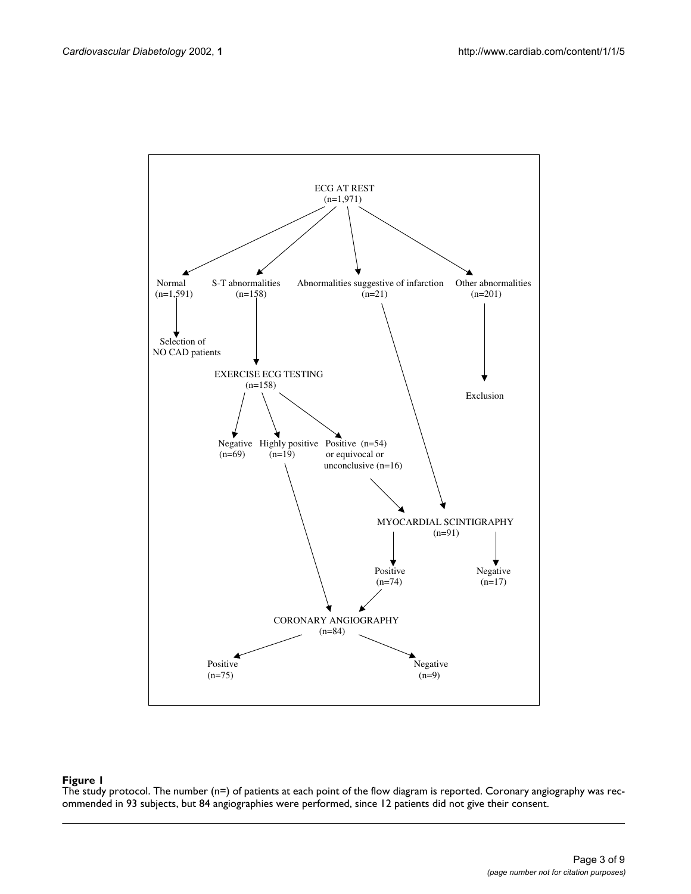

#### <span id="page-2-0"></span>**Figure 1**

The study protocol. The number (n=) of patients at each point of the flow diagram is reported. Coronary angiography was recommended in 93 subjects, but 84 angiographies were performed, since 12 patients did not give their consent.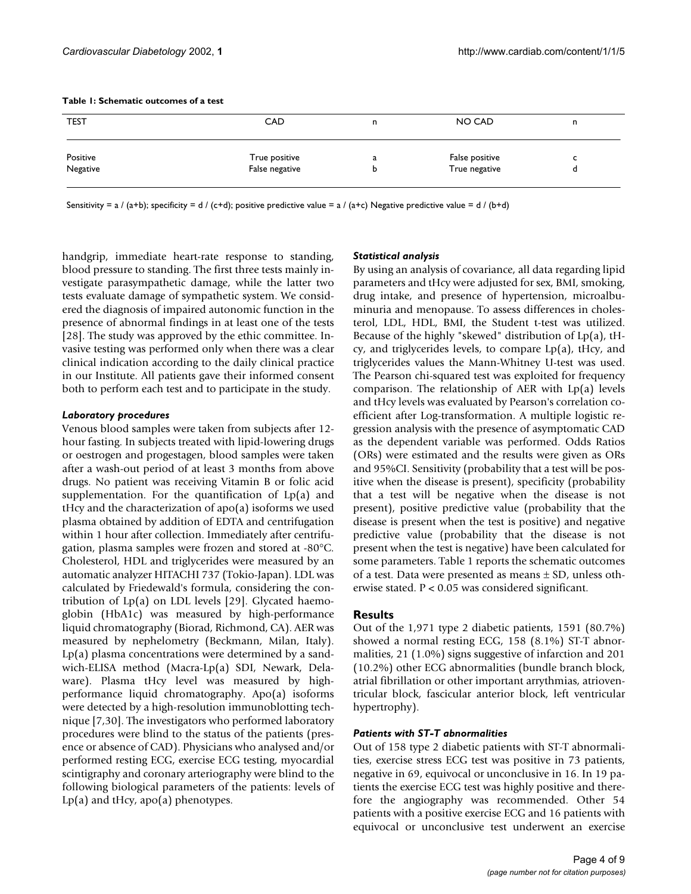| <b>TEST</b>          | <b>CAD</b>                      | n | <b>NO CAD</b>                   | n           |  |
|----------------------|---------------------------------|---|---------------------------------|-------------|--|
| Positive<br>Negative | True positive<br>False negative |   | False positive<br>True negative | ∼<br>╰<br>d |  |

#### **Table 1: Schematic outcomes of a test**

Sensitivity = a / (a+b); specificity = d / (c+d); positive predictive value = a / (a+c) Negative predictive value = d / (b+d)

handgrip, immediate heart-rate response to standing, blood pressure to standing. The first three tests mainly investigate parasympathetic damage, while the latter two tests evaluate damage of sympathetic system. We considered the diagnosis of impaired autonomic function in the presence of abnormal findings in at least one of the tests [28]. The study was approved by the ethic committee. Invasive testing was performed only when there was a clear clinical indication according to the daily clinical practice in our Institute. All patients gave their informed consent both to perform each test and to participate in the study.

#### *Laboratory procedures*

Venous blood samples were taken from subjects after 12 hour fasting. In subjects treated with lipid-lowering drugs or oestrogen and progestagen, blood samples were taken after a wash-out period of at least 3 months from above drugs. No patient was receiving Vitamin B or folic acid supplementation. For the quantification of Lp(a) and tHcy and the characterization of apo(a) isoforms we used plasma obtained by addition of EDTA and centrifugation within 1 hour after collection. Immediately after centrifugation, plasma samples were frozen and stored at -80°C. Cholesterol, HDL and triglycerides were measured by an automatic analyzer HITACHI 737 (Tokio-Japan). LDL was calculated by Friedewald's formula, considering the contribution of Lp(a) on LDL levels [29]. Glycated haemoglobin (HbA1c) was measured by high-performance liquid chromatography (Biorad, Richmond, CA). AER was measured by nephelometry (Beckmann, Milan, Italy). Lp(a) plasma concentrations were determined by a sandwich-ELISA method (Macra-Lp(a) SDI, Newark, Delaware). Plasma tHcy level was measured by highperformance liquid chromatography. Apo(a) isoforms were detected by a high-resolution immunoblotting technique [7,30]. The investigators who performed laboratory procedures were blind to the status of the patients (presence or absence of CAD). Physicians who analysed and/or performed resting ECG, exercise ECG testing, myocardial scintigraphy and coronary arteriography were blind to the following biological parameters of the patients: levels of Lp(a) and tHcy, apo(a) phenotypes.

#### *Statistical analysis*

By using an analysis of covariance, all data regarding lipid parameters and tHcy were adjusted for sex, BMI, smoking, drug intake, and presence of hypertension, microalbuminuria and menopause. To assess differences in cholesterol, LDL, HDL, BMI, the Student t-test was utilized. Because of the highly "skewed" distribution of Lp(a), tHcy, and triglycerides levels, to compare Lp(a), tHcy, and triglycerides values the Mann-Whitney U-test was used. The Pearson chi-squared test was exploited for frequency comparison. The relationship of AER with Lp(a) levels and tHcy levels was evaluated by Pearson's correlation coefficient after Log-transformation. A multiple logistic regression analysis with the presence of asymptomatic CAD as the dependent variable was performed. Odds Ratios (ORs) were estimated and the results were given as ORs and 95%CI. Sensitivity (probability that a test will be positive when the disease is present), specificity (probability that a test will be negative when the disease is not present), positive predictive value (probability that the disease is present when the test is positive) and negative predictive value (probability that the disease is not present when the test is negative) have been calculated for some parameters. Table 1 reports the schematic outcomes of a test. Data were presented as means  $\pm$  SD, unless otherwise stated. P < 0.05 was considered significant.

#### **Results**

Out of the 1,971 type 2 diabetic patients, 1591 (80.7%) showed a normal resting ECG, 158 (8.1%) ST-T abnormalities, 21 (1.0%) signs suggestive of infarction and 201 (10.2%) other ECG abnormalities (bundle branch block, atrial fibrillation or other important arrythmias, atrioventricular block, fascicular anterior block, left ventricular hypertrophy).

#### *Patients with ST-T abnormalities*

Out of 158 type 2 diabetic patients with ST-T abnormalities, exercise stress ECG test was positive in 73 patients, negative in 69, equivocal or unconclusive in 16. In 19 patients the exercise ECG test was highly positive and therefore the angiography was recommended. Other 54 patients with a positive exercise ECG and 16 patients with equivocal or unconclusive test underwent an exercise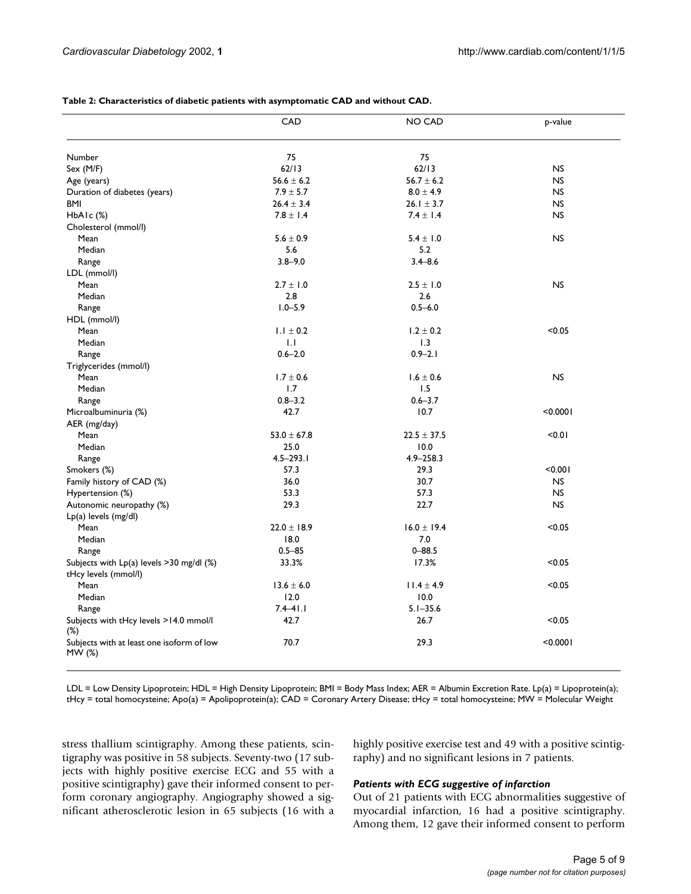|                                                     | CAD             | NO CAD             | p-value   |
|-----------------------------------------------------|-----------------|--------------------|-----------|
| Number                                              | 75              | 75                 |           |
| Sex (M/F)                                           | 62/13           | 62/13              | <b>NS</b> |
| Age (years)                                         | $56.6 \pm 6.2$  | $56.7 \pm 6.2$     | <b>NS</b> |
| Duration of diabetes (years)                        | $7.9 \pm 5.7$   | $8.0 \pm 4.9$      | <b>NS</b> |
| <b>BMI</b>                                          | $26.4 \pm 3.4$  | $26.1 \pm 3.7$     | <b>NS</b> |
| $HbA1c$ $%$                                         | 7.8 $\pm$ 1.4   | $7.4 \pm 1.4$      | NS.       |
| Cholesterol (mmol/l)                                |                 |                    |           |
| Mean                                                | $5.6 \pm 0.9$   | $5.4 \pm 1.0$      | <b>NS</b> |
| Median                                              | 5.6             | 5.2                |           |
| Range                                               | $3.8 - 9.0$     | $3.4 - 8.6$        |           |
| LDL (mmol/l)                                        |                 |                    |           |
| Mean                                                | $2.7 \pm 1.0$   | $2.5 \pm 1.0$      | <b>NS</b> |
|                                                     |                 |                    |           |
| Median                                              | 2.8             | 2.6<br>$0.5 - 6.0$ |           |
| Range                                               | $1.0 - 5.9$     |                    |           |
| HDL (mmol/l)                                        |                 |                    |           |
| Mean                                                | $1.1\pm0.2$     | $1.2 \pm 0.2$      | < 0.05    |
| Median                                              | 1.1             | 1.3                |           |
| Range                                               | $0.6 - 2.0$     | $0.9 - 2.1$        |           |
| Triglycerides (mmol/l)                              |                 |                    |           |
| Mean                                                | $1.7 \pm 0.6$   | $1.6 \pm 0.6$      | <b>NS</b> |
| Median                                              | 1.7             | 1.5                |           |
| Range                                               | $0.8 - 3.2$     | $0.6 - 3.7$        |           |
| Microalbuminuria (%)                                | 42.7            | 10.7               | < 0.0001  |
| AER (mg/day)                                        |                 |                    |           |
| Mean                                                | $53.0 \pm 67.8$ | $22.5 \pm 37.5$    | 10.0      |
| Median                                              | 25.0            | 10.0               |           |
| Range                                               | $4.5 - 293.1$   | $4.9 - 258.3$      |           |
| Smokers (%)                                         | 57.3            | 29.3               | < 0.001   |
| Family history of CAD (%)                           | 36.0            | 30.7               | <b>NS</b> |
| Hypertension (%)                                    | 53.3            | 57.3               | <b>NS</b> |
| Autonomic neuropathy (%)                            | 29.3            | 22.7               | <b>NS</b> |
| Lp(a) levels (mg/dl)                                |                 |                    |           |
| Mean                                                | $22.0 \pm 18.9$ | $16.0 \pm 19.4$    | < 0.05    |
| Median                                              | 18.0            | 7.0                |           |
| Range                                               | $0.5 - 85$      | $0 - 88.5$         |           |
| Subjects with $Lp(a)$ levels >30 mg/dl $(\%)$       | 33.3%           | 17.3%              | < 0.05    |
| tHcy levels (mmol/l)                                |                 |                    |           |
| Mean                                                | $13.6 \pm 6.0$  | $11.4 \pm 4.9$     | < 0.05    |
| Median                                              | 12.0            | 10.0               |           |
| Range                                               | $7.4 - 41.1$    | $5.1 - 35.6$       |           |
| Subjects with tHcy levels >14.0 mmol/l              | 42.7            | 26.7               | < 0.05    |
| $(\%)$                                              |                 |                    |           |
| Subjects with at least one isoform of low<br>MW (%) | 70.7            | 29.3               | < 0.0001  |

#### **Table 2: Characteristics of diabetic patients with asymptomatic CAD and without CAD.**

LDL = Low Density Lipoprotein; HDL = High Density Lipoprotein; BMI = Body Mass Index; AER = Albumin Excretion Rate. Lp(a) = Lipoprotein(a); tHcy = total homocysteine; Apo(a) = Apolipoprotein(a); CAD = Coronary Artery Disease; tHcy = total homocysteine; MW = Molecular Weight

stress thallium scintigraphy. Among these patients, scintigraphy was positive in 58 subjects. Seventy-two (17 subjects with highly positive exercise ECG and 55 with a positive scintigraphy) gave their informed consent to perform coronary angiography. Angiography showed a significant atherosclerotic lesion in 65 subjects (16 with a highly positive exercise test and 49 with a positive scintigraphy) and no significant lesions in 7 patients.

## *Patients with ECG suggestive of infarction*

Out of 21 patients with ECG abnormalities suggestive of myocardial infarction, 16 had a positive scintigraphy. Among them, 12 gave their informed consent to perform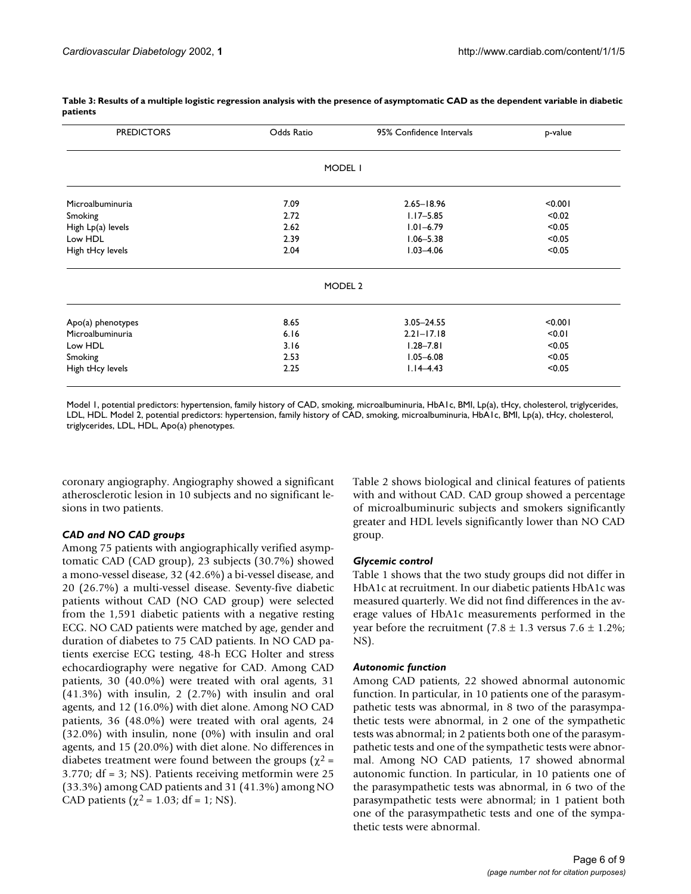| <b>PREDICTORS</b> | Odds Ratio         | 95% Confidence Intervals | p-value |
|-------------------|--------------------|--------------------------|---------|
|                   | MODEL I            |                          |         |
| Microalbuminuria  | 7.09               | $2.65 - 18.96$           | < 0.001 |
| Smoking           | 2.72               | $1.17 - 5.85$            | < 0.02  |
| High Lp(a) levels | 2.62               | $1.01 - 6.79$            | < 0.05  |
| Low HDL           | 2.39               | $1.06 - 5.38$            | < 0.05  |
| High tHcy levels  | 2.04               | $1.03 - 4.06$            | < 0.05  |
|                   | MODEL <sub>2</sub> |                          |         |
| Apo(a) phenotypes | 8.65               | $3.05 - 24.55$           | < 0.001 |
| Microalbuminuria  | 6.16               | $2.21 - 17.18$           | < 0.01  |
| Low HDL           | 3.16               | $1.28 - 7.81$            | < 0.05  |
| Smoking           | 2.53               | $1.05 - 6.08$            | < 0.05  |
| High tHcy levels  | 2.25               | $1.14 - 4.43$            | < 0.05  |

**Table 3: Results of a multiple logistic regression analysis with the presence of asymptomatic CAD as the dependent variable in diabetic patients**

Model 1, potential predictors: hypertension, family history of CAD, smoking, microalbuminuria, HbA1c, BMI, Lp(a), tHcy, cholesterol, triglycerides, LDL, HDL. Model 2, potential predictors: hypertension, family history of CAD, smoking, microalbuminuria, HbA1c, BMI, Lp(a), tHcy, cholesterol, triglycerides, LDL, HDL, Apo(a) phenotypes.

coronary angiography. Angiography showed a significant atherosclerotic lesion in 10 subjects and no significant lesions in two patients.

### *CAD and NO CAD groups*

Among 75 patients with angiographically verified asymptomatic CAD (CAD group), 23 subjects (30.7%) showed a mono-vessel disease, 32 (42.6%) a bi-vessel disease, and 20 (26.7%) a multi-vessel disease. Seventy-five diabetic patients without CAD (NO CAD group) were selected from the 1,591 diabetic patients with a negative resting ECG. NO CAD patients were matched by age, gender and duration of diabetes to 75 CAD patients. In NO CAD patients exercise ECG testing, 48-h ECG Holter and stress echocardiography were negative for CAD. Among CAD patients, 30 (40.0%) were treated with oral agents, 31 (41.3%) with insulin, 2 (2.7%) with insulin and oral agents, and 12 (16.0%) with diet alone. Among NO CAD patients, 36 (48.0%) were treated with oral agents, 24 (32.0%) with insulin, none (0%) with insulin and oral agents, and 15 (20.0%) with diet alone. No differences in diabetes treatment were found between the groups ( $\chi^2$  = 3.770; df = 3; NS). Patients receiving metformin were 25 (33.3%) among CAD patients and 31 (41.3%) among NO CAD patients ( $\chi^2$  = 1.03; df = 1; NS).

Table 2 shows biological and clinical features of patients with and without CAD. CAD group showed a percentage of microalbuminuric subjects and smokers significantly greater and HDL levels significantly lower than NO CAD group.

### *Glycemic control*

Table 1 shows that the two study groups did not differ in HbA1c at recruitment. In our diabetic patients HbA1c was measured quarterly. We did not find differences in the average values of HbA1c measurements performed in the year before the recruitment (7.8  $\pm$  1.3 versus 7.6  $\pm$  1.2%; NS).

### *Autonomic function*

Among CAD patients, 22 showed abnormal autonomic function. In particular, in 10 patients one of the parasympathetic tests was abnormal, in 8 two of the parasympathetic tests were abnormal, in 2 one of the sympathetic tests was abnormal; in 2 patients both one of the parasympathetic tests and one of the sympathetic tests were abnormal. Among NO CAD patients, 17 showed abnormal autonomic function. In particular, in 10 patients one of the parasympathetic tests was abnormal, in 6 two of the parasympathetic tests were abnormal; in 1 patient both one of the parasympathetic tests and one of the sympathetic tests were abnormal.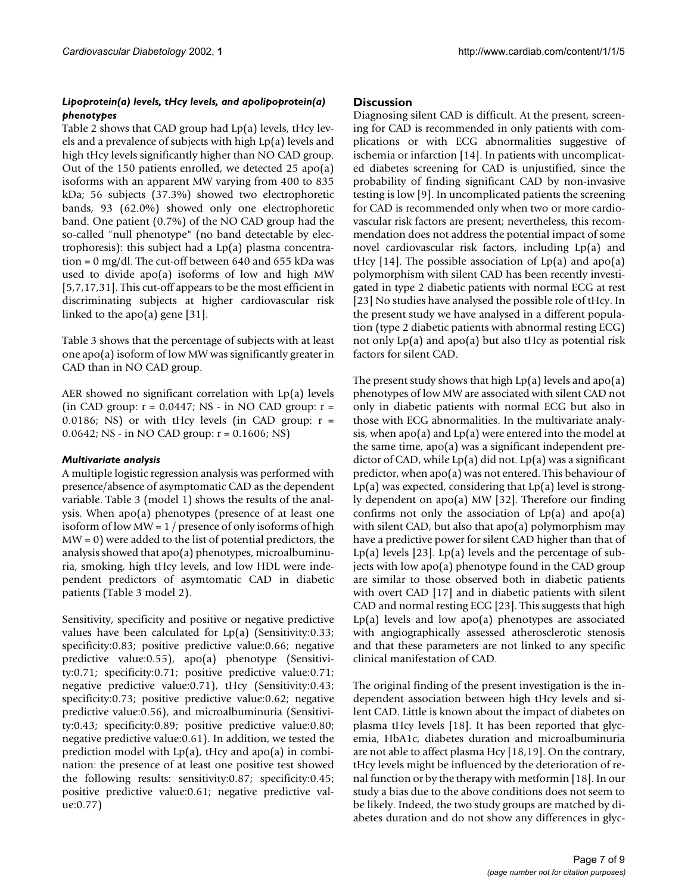Table 2 shows that CAD group had Lp(a) levels, tHcy levels and a prevalence of subjects with high Lp(a) levels and high tHcy levels significantly higher than NO CAD group. Out of the 150 patients enrolled, we detected 25 apo(a) isoforms with an apparent MW varying from 400 to 835 kDa; 56 subjects (37.3%) showed two electrophoretic bands, 93 (62.0%) showed only one electrophoretic band. One patient (0.7%) of the NO CAD group had the so-called "null phenotype" (no band detectable by electrophoresis): this subject had a Lp(a) plasma concentration = 0 mg/dl. The cut-off between 640 and 655 kDa was used to divide apo(a) isoforms of low and high MW [5,7,17,31]. This cut-off appears to be the most efficient in discriminating subjects at higher cardiovascular risk linked to the apo(a) gene [31].

Table 3 shows that the percentage of subjects with at least one apo(a) isoform of low MW was significantly greater in CAD than in NO CAD group.

AER showed no significant correlation with  $Lp(a)$  levels (in CAD group:  $r = 0.0447$ ; NS - in NO CAD group:  $r =$ 0.0186; NS) or with tHcy levels (in CAD group:  $r =$ 0.0642; NS - in NO CAD group: r = 0.1606; NS)

### *Multivariate analysis*

A multiple logistic regression analysis was performed with presence/absence of asymptomatic CAD as the dependent variable. Table 3 (model 1) shows the results of the analysis. When apo(a) phenotypes (presence of at least one isoform of low MW = 1 / presence of only isoforms of high MW = 0) were added to the list of potential predictors, the analysis showed that apo(a) phenotypes, microalbuminuria, smoking, high tHcy levels, and low HDL were independent predictors of asymtomatic CAD in diabetic patients (Table 3 model 2).

Sensitivity, specificity and positive or negative predictive values have been calculated for Lp(a) (Sensitivity:0.33; specificity:0.83; positive predictive value:0.66; negative predictive value:0.55), apo(a) phenotype (Sensitivity:0.71; specificity:0.71; positive predictive value:0.71; negative predictive value:0.71), tHcy (Sensitivity:0.43; specificity:0.73; positive predictive value:0.62; negative predictive value:0.56), and microalbuminuria (Sensitivity:0.43; specificity:0.89; positive predictive value:0.80; negative predictive value:0.61). In addition, we tested the prediction model with  $Lp(a)$ , tHcy and apo(a) in combination: the presence of at least one positive test showed the following results: sensitivity:0.87; specificity:0.45; positive predictive value:0.61; negative predictive value:0.77)

## **Discussion**

Diagnosing silent CAD is difficult. At the present, screening for CAD is recommended in only patients with complications or with ECG abnormalities suggestive of ischemia or infarction [14]. In patients with uncomplicated diabetes screening for CAD is unjustified, since the probability of finding significant CAD by non-invasive testing is low [9]. In uncomplicated patients the screening for CAD is recommended only when two or more cardiovascular risk factors are present; nevertheless, this recommendation does not address the potential impact of some novel cardiovascular risk factors, including Lp(a) and tHcy [14]. The possible association of  $Lp(a)$  and apo(a) polymorphism with silent CAD has been recently investigated in type 2 diabetic patients with normal ECG at rest [23] No studies have analysed the possible role of tHcy. In the present study we have analysed in a different population (type 2 diabetic patients with abnormal resting ECG) not only  $Lp(a)$  and apo $(a)$  but also tHcy as potential risk factors for silent CAD.

The present study shows that high  $Lp(a)$  levels and apo(a) phenotypes of low MW are associated with silent CAD not only in diabetic patients with normal ECG but also in those with ECG abnormalities. In the multivariate analysis, when apo(a) and  $Lp(a)$  were entered into the model at the same time, apo(a) was a significant independent predictor of CAD, while Lp(a) did not. Lp(a) was a significant predictor, when apo(a) was not entered. This behaviour of  $Lp(a)$  was expected, considering that  $Lp(a)$  level is strongly dependent on apo(a) MW [32]. Therefore our finding confirms not only the association of  $Lp(a)$  and apo $(a)$ with silent CAD, but also that apo(a) polymorphism may have a predictive power for silent CAD higher than that of Lp(a) levels  $[23]$ . Lp(a) levels and the percentage of subjects with low apo(a) phenotype found in the CAD group are similar to those observed both in diabetic patients with overt CAD [17] and in diabetic patients with silent CAD and normal resting ECG [23]. This suggests that high  $Lp(a)$  levels and low apo(a) phenotypes are associated with angiographically assessed atherosclerotic stenosis and that these parameters are not linked to any specific clinical manifestation of CAD.

The original finding of the present investigation is the independent association between high tHcy levels and silent CAD. Little is known about the impact of diabetes on plasma tHcy levels [18]. It has been reported that glycemia, HbA1c, diabetes duration and microalbuminuria are not able to affect plasma Hcy [18,19]. On the contrary, tHcy levels might be influenced by the deterioration of renal function or by the therapy with metformin [18]. In our study a bias due to the above conditions does not seem to be likely. Indeed, the two study groups are matched by diabetes duration and do not show any differences in glyc-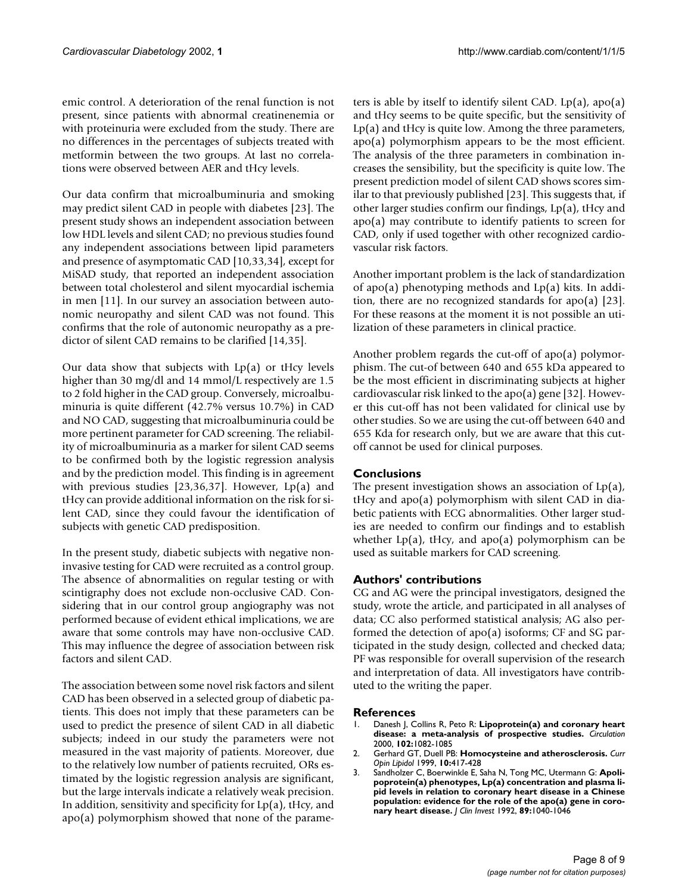emic control. A deterioration of the renal function is not present, since patients with abnormal creatinenemia or with proteinuria were excluded from the study. There are no differences in the percentages of subjects treated with metformin between the two groups. At last no correlations were observed between AER and tHcy levels.

Our data confirm that microalbuminuria and smoking may predict silent CAD in people with diabetes [23]. The present study shows an independent association between low HDL levels and silent CAD; no previous studies found any independent associations between lipid parameters and presence of asymptomatic CAD [10,33,34], except for MiSAD study, that reported an independent association between total cholesterol and silent myocardial ischemia in men [11]. In our survey an association between autonomic neuropathy and silent CAD was not found. This confirms that the role of autonomic neuropathy as a predictor of silent CAD remains to be clarified [14,35].

Our data show that subjects with  $Lp(a)$  or tHcy levels higher than 30 mg/dl and 14 mmol/L respectively are 1.5 to 2 fold higher in the CAD group. Conversely, microalbuminuria is quite different (42.7% versus 10.7%) in CAD and NO CAD, suggesting that microalbuminuria could be more pertinent parameter for CAD screening. The reliability of microalbuminuria as a marker for silent CAD seems to be confirmed both by the logistic regression analysis and by the prediction model. This finding is in agreement with previous studies [23,36,37]. However, Lp(a) and tHcy can provide additional information on the risk for silent CAD, since they could favour the identification of subjects with genetic CAD predisposition.

In the present study, diabetic subjects with negative noninvasive testing for CAD were recruited as a control group. The absence of abnormalities on regular testing or with scintigraphy does not exclude non-occlusive CAD. Considering that in our control group angiography was not performed because of evident ethical implications, we are aware that some controls may have non-occlusive CAD. This may influence the degree of association between risk factors and silent CAD.

The association between some novel risk factors and silent CAD has been observed in a selected group of diabetic patients. This does not imply that these parameters can be used to predict the presence of silent CAD in all diabetic subjects; indeed in our study the parameters were not measured in the vast majority of patients. Moreover, due to the relatively low number of patients recruited, ORs estimated by the logistic regression analysis are significant, but the large intervals indicate a relatively weak precision. In addition, sensitivity and specificity for  $Lp(a)$ , tHcy, and apo(a) polymorphism showed that none of the parameters is able by itself to identify silent CAD.  $Lp(a)$ , apo $(a)$ and tHcy seems to be quite specific, but the sensitivity of Lp(a) and tHcy is quite low. Among the three parameters, apo(a) polymorphism appears to be the most efficient. The analysis of the three parameters in combination increases the sensibility, but the specificity is quite low. The present prediction model of silent CAD shows scores similar to that previously published [23]. This suggests that, if other larger studies confirm our findings, Lp(a), tHcy and apo(a) may contribute to identify patients to screen for CAD, only if used together with other recognized cardiovascular risk factors.

Another important problem is the lack of standardization of apo(a) phenotyping methods and  $Lp(a)$  kits. In addition, there are no recognized standards for apo(a) [23]. For these reasons at the moment it is not possible an utilization of these parameters in clinical practice.

Another problem regards the cut-off of apo(a) polymorphism. The cut-of between 640 and 655 kDa appeared to be the most efficient in discriminating subjects at higher cardiovascular risk linked to the apo(a) gene [32]. However this cut-off has not been validated for clinical use by other studies. So we are using the cut-off between 640 and 655 Kda for research only, but we are aware that this cutoff cannot be used for clinical purposes.

# **Conclusions**

The present investigation shows an association of  $Lp(a)$ , tHcy and apo(a) polymorphism with silent CAD in diabetic patients with ECG abnormalities. Other larger studies are needed to confirm our findings and to establish whether  $Lp(a)$ , tHcy, and  $apo(a)$  polymorphism can be used as suitable markers for CAD screening.

# **Authors' contributions**

CG and AG were the principal investigators, designed the study, wrote the article, and participated in all analyses of data; CC also performed statistical analysis; AG also performed the detection of apo(a) isoforms; CF and SG participated in the study design, collected and checked data; PF was responsible for overall supervision of the research and interpretation of data. All investigators have contributed to the writing the paper.

# **References**

- 1. [Danesh J, Collins R, Peto R:](http://www.ncbi.nlm.nih.gov/entrez/query.fcgi?cmd=Retrieve&db=PubMed&dopt=Abstract&list_uids=10973834) **[Lipoprotein\(a\) and coronary heart](http://www.ncbi.nlm.nih.gov/entrez/query.fcgi?cmd=Retrieve&db=PubMed&dopt=Abstract&list_uids=10973834) [disease: a meta-analysis of prospective studies.](http://www.ncbi.nlm.nih.gov/entrez/query.fcgi?cmd=Retrieve&db=PubMed&dopt=Abstract&list_uids=10973834)** *Circulation* 2000, **102:**1082-1085
- 2. [Gerhard GT, Duell PB:](http://www.ncbi.nlm.nih.gov/entrez/query.fcgi?cmd=Retrieve&db=PubMed&dopt=Abstract&list_uids=10554704) **[Homocysteine and atherosclerosis.](http://www.ncbi.nlm.nih.gov/entrez/query.fcgi?cmd=Retrieve&db=PubMed&dopt=Abstract&list_uids=10554704)** *Curr Opin Lipidol* 1999, **10:**417-428
- 3. [Sandholzer C, Boerwinkle E, Saha N, Tong MC, Utermann G:](http://www.ncbi.nlm.nih.gov/entrez/query.fcgi?cmd=Retrieve&db=PubMed&dopt=Abstract&list_uids=1541665) **[Apoli](http://www.ncbi.nlm.nih.gov/entrez/query.fcgi?cmd=Retrieve&db=PubMed&dopt=Abstract&list_uids=1541665)[poprotein\(a\) phenotypes, Lp\(a\) concentration and plasma li](http://www.ncbi.nlm.nih.gov/entrez/query.fcgi?cmd=Retrieve&db=PubMed&dopt=Abstract&list_uids=1541665)pid levels in relation to coronary heart disease in a Chinese population: evidence for the role of the apo(a) gene in coro[nary heart disease.](http://www.ncbi.nlm.nih.gov/entrez/query.fcgi?cmd=Retrieve&db=PubMed&dopt=Abstract&list_uids=1541665)** *J Clin Invest* 1992, **89:**1040-1046